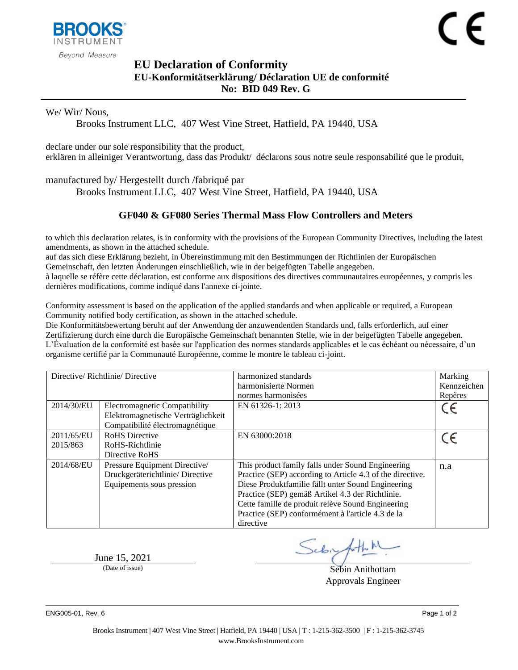

## <span id="page-0-1"></span><span id="page-0-0"></span>**EU Declaration of Conformity EU-Konformitätserklärung/ Déclaration UE de conformité No: BID 049 Rev. G**

We/ Wir/ Nous,

Brooks Instrument LLC, 407 West Vine Street, Hatfield, PA 19440, USA

declare under our sole responsibility that the product, erklären in alleiniger Verantwortung, dass das Produkt/ déclarons sous notre seule responsabilité que le produit,

manufactured by/ Hergestellt durch /fabriqué par

Brooks Instrument LLC, 407 West Vine Street, Hatfield, PA 19440, USA

## <span id="page-0-2"></span>**GF040 & GF080 Series Thermal Mass Flow Controllers and Meters**

to which this declaration relates, is in conformity with the provisions of the European Community Directives, including the latest amendments, as shown in the attached schedule.

auf das sich diese Erklärung bezieht, in Übereinstimmung mit den Bestimmungen der Richtlinien der Europäischen Gemeinschaft, den letzten Änderungen einschließlich, wie in der beigefügten Tabelle angegeben.

à laquelle se réfère cette déclaration, est conforme aux dispositions des directives communautaires européennes, y compris les dernières modifications, comme indiqué dans l'annexe ci-jointe.

Conformity assessment is based on the application of the applied standards and when applicable or required, a European Community notified body certification, as shown in the attached schedule.

Die Konformitätsbewertung beruht auf der Anwendung der anzuwendenden Standards und, falls erforderlich, auf einer Zertifizierung durch eine durch die Europäische Gemeinschaft benannten Stelle, wie in der beigefügten Tabelle angegeben. L'Évaluation de la conformité est basée sur l'application des normes standards applicables et le cas échéant ou nécessaire, d'un organisme certifié par la Communauté Européenne, comme le montre le tableau ci-joint.

| Directive/Richtlinie/Directive |                                      | harmonized standards                                      | Marking     |
|--------------------------------|--------------------------------------|-----------------------------------------------------------|-------------|
|                                |                                      | harmonisierte Normen                                      | Kennzeichen |
|                                |                                      | normes harmonisées                                        | Repères     |
| 2014/30/EU                     | <b>Electromagnetic Compatibility</b> | EN 61326-1: 2013                                          | CE          |
|                                | Elektromagnetische Verträglichkeit   |                                                           |             |
|                                | Compatibilité électromagnétique      |                                                           |             |
| 2011/65/EU                     | <b>RoHS</b> Directive                | EN 63000:2018                                             | $\epsilon$  |
| 2015/863                       | RoHS-Richtlinie                      |                                                           |             |
|                                | Directive RoHS                       |                                                           |             |
| 2014/68/EU                     | Pressure Equipment Directive/        | This product family falls under Sound Engineering         | n.a         |
|                                | Druckgeräterichtlinie/Directive      | Practice (SEP) according to Article 4.3 of the directive. |             |
|                                | Equipements sous pression            | Diese Produktfamilie fällt unter Sound Engineering        |             |
|                                |                                      | Practice (SEP) gemäß Artikel 4.3 der Richtlinie.          |             |
|                                |                                      | Cette famille de produit relève Sound Engineering         |             |
|                                |                                      | Practice (SEP) conformément à l'article 4.3 de la         |             |
|                                |                                      | directive                                                 |             |

June 15, 2021

Sebigath

(Date of issue) Sebin Anithottam Approvals Engineer

ENG005-01, Rev. 6 Page 1 of 2